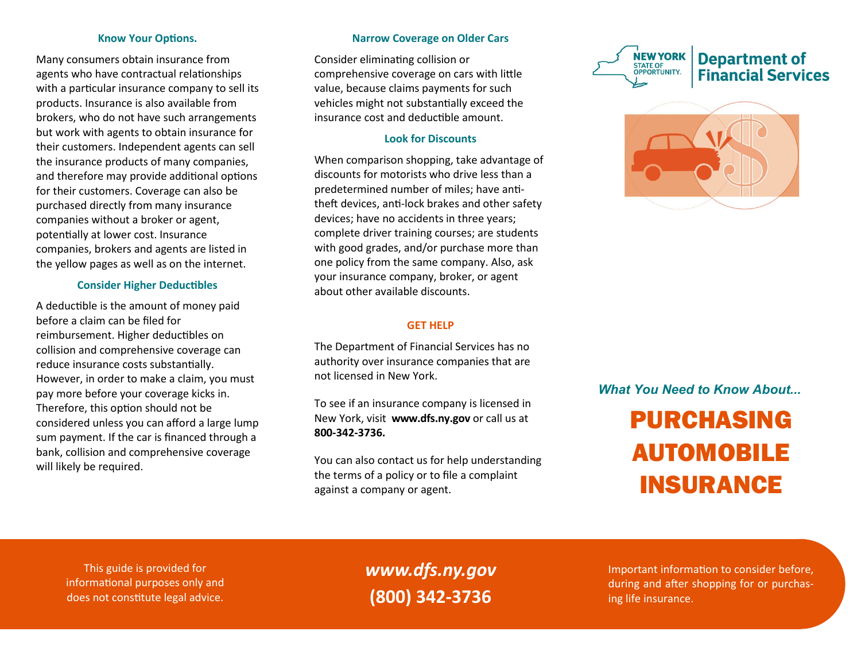#### **Know Your Options.**

Many consumers obtain insurance from agents who have contractual relationships with a particular insurance company to sell its products. Insurance is also available from brokers, who do not have such arrangements but work with agents to obtain insurance for their customers. Independent agents can sell the insurance products of many companies, and therefore may provide additional options for their customers. Coverage can also be purchased directly from many insurance companies without a broker or agent, potentially at lower cost. Insurance companies, brokers and agents are listed in the yellow pages as well as on the internet.

#### **Consider Higher Deductibles**

A deductible is the amount of money paid before a claim can be filed for reimbursement. Higher deductibles on collision and comprehensive coverage can reduce insurance costs substantially. However, in order to make a claim, you must pay more before your coverage kicks in. Therefore, this option should not be considered unless you can afford a large lump sum payment. If the car is financed through a bank, collision and comprehensive coverage will likely be required.

#### **Narrow Coverage on Older Cars**

Consider eliminating collision or comprehensive coverage on cars with little value, because claims payments for such vehicles might not substantially exceed the insurance cost and deductible amount.

## **Look for Discounts**

When comparison shopping, take advantage of discounts for motorists who drive less than a predetermined number of miles; have antitheft devices, anti-lock brakes and other safety devices; have no accidents in three years; complete driver training courses; are students with good grades, and/or purchase more than one policy from the same company. Also, ask your insurance company, broker, or agent about other available discounts.

#### **GET HELP**

The Department of Financial Services has no authority over insurance companies that are not licensed in New York.

To see if an insurance company is licensed in New York, visit **www.dfs.ny.gov** or call us at **800-342-3736.**

You can also contact us for help understanding the terms of a policy or to file a complaint against a company or agent.





# *What You Need to Know About...*

# PURCHASING AUTOMOBILE INSURANCE

This guide is provided for informational purposes only and does not constitute legal advice.

*www.dfs.ny.gov* **(800) 342-3736**

Important information to consider before, during and after shopping for or purchasing life insurance.